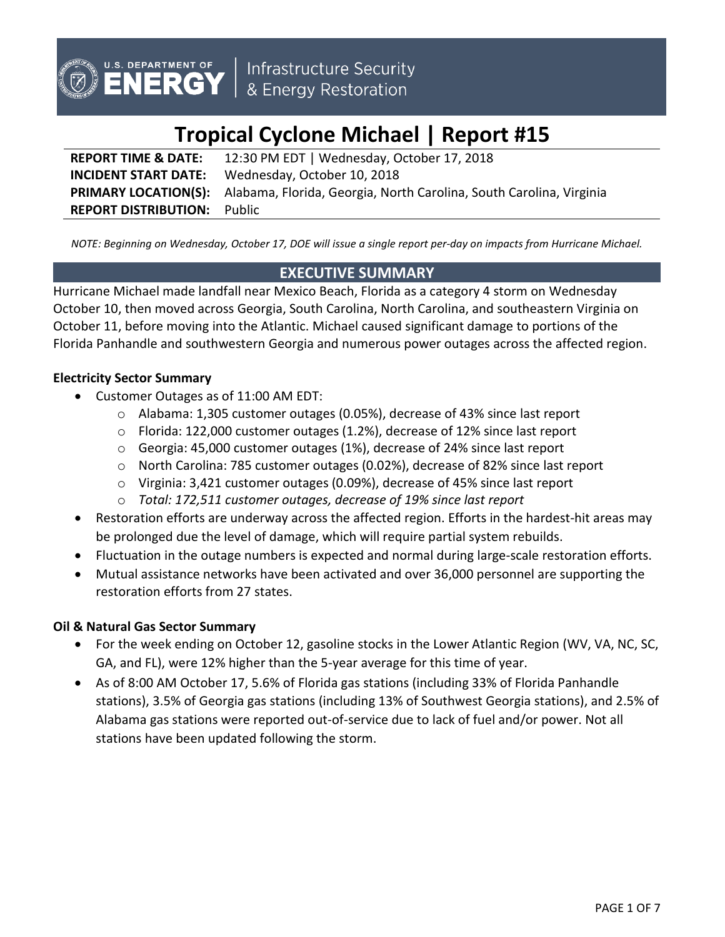

# **Tropical Cyclone Michael | Report #15**

**REPORT TIME & DATE:** 12:30 PM EDT | Wednesday, October 17, 2018 **INCIDENT START DATE:** Wednesday, October 10, 2018 **PRIMARY LOCATION(S):** Alabama, Florida, Georgia, North Carolina, South Carolina, Virginia **REPORT DISTRIBUTION:** Public

*NOTE: Beginning on Wednesday, October 17, DOE will issue a single report per-day on impacts from Hurricane Michael.*

# **EXECUTIVE SUMMARY**

Hurricane Michael made landfall near Mexico Beach, Florida as a category 4 storm on Wednesday October 10, then moved across Georgia, South Carolina, North Carolina, and southeastern Virginia on October 11, before moving into the Atlantic. Michael caused significant damage to portions of the Florida Panhandle and southwestern Georgia and numerous power outages across the affected region.

## **Electricity Sector Summary**

- Customer Outages as of 11:00 AM EDT:
	- o Alabama: 1,305 customer outages (0.05%), decrease of 43% since last report
	- $\circ$  Florida: 122,000 customer outages (1.2%), decrease of 12% since last report
	- o Georgia: 45,000 customer outages (1%), decrease of 24% since last report
	- o North Carolina: 785 customer outages (0.02%), decrease of 82% since last report
	- o Virginia: 3,421 customer outages (0.09%), decrease of 45% since last report
	- o *Total: 172,511 customer outages, decrease of 19% since last report*
- Restoration efforts are underway across the affected region. Efforts in the hardest-hit areas may be prolonged due the level of damage, which will require partial system rebuilds.
- Fluctuation in the outage numbers is expected and normal during large-scale restoration efforts.
- Mutual assistance networks have been activated and over 36,000 personnel are supporting the restoration efforts from 27 states.

# **Oil & Natural Gas Sector Summary**

- For the week ending on October 12, gasoline stocks in the Lower Atlantic Region (WV, VA, NC, SC, GA, and FL), were 12% higher than the 5-year average for this time of year.
- As of 8:00 AM October 17, 5.6% of Florida gas stations (including 33% of Florida Panhandle stations), 3.5% of Georgia gas stations (including 13% of Southwest Georgia stations), and 2.5% of Alabama gas stations were reported out-of-service due to lack of fuel and/or power. Not all stations have been updated following the storm.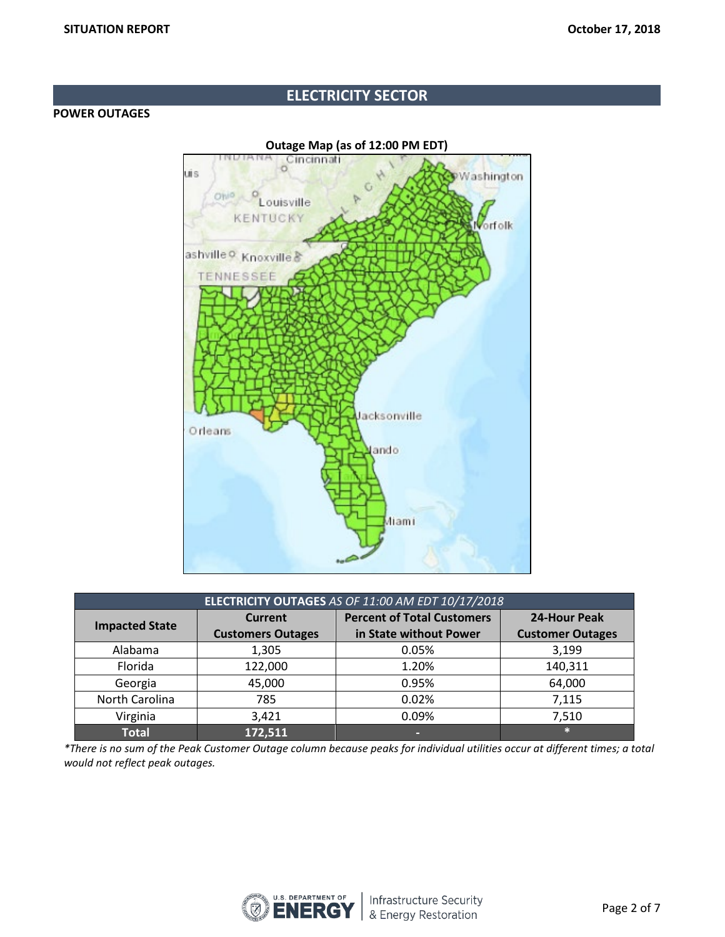# **ELECTRICITY SECTOR**

## **POWER OUTAGES**

**Outage Map (as of 12:00 PM EDT)** Cincinnati Jİ S Washington Ohio f, Louisville **KENTUCKY** Vorfolk ashville & Knoxville & **TENNESSEE** lacksonville Orleans ando *Aliami* 

| ELECTRICITY OUTAGES AS OF 11:00 AM EDT 10/17/2018 |                          |                                   |                         |  |
|---------------------------------------------------|--------------------------|-----------------------------------|-------------------------|--|
| <b>Impacted State</b>                             | <b>Current</b>           | <b>Percent of Total Customers</b> | <b>24-Hour Peak</b>     |  |
|                                                   | <b>Customers Outages</b> | in State without Power            | <b>Customer Outages</b> |  |
| Alabama                                           | 1,305                    | 0.05%                             | 3,199                   |  |
| Florida                                           | 122,000                  | 1.20%                             | 140,311                 |  |
| Georgia                                           | 45,000                   | 0.95%                             | 64,000                  |  |
| North Carolina                                    | 785                      | 0.02%                             | 7,115                   |  |
| Virginia                                          | 3,421                    | 0.09%                             | 7,510                   |  |
| <b>Total</b>                                      | 172,511                  | -                                 | $\ast$                  |  |

*\*There is no sum of the Peak Customer Outage column because peaks for individual utilities occur at different times; a total would not reflect peak outages.*

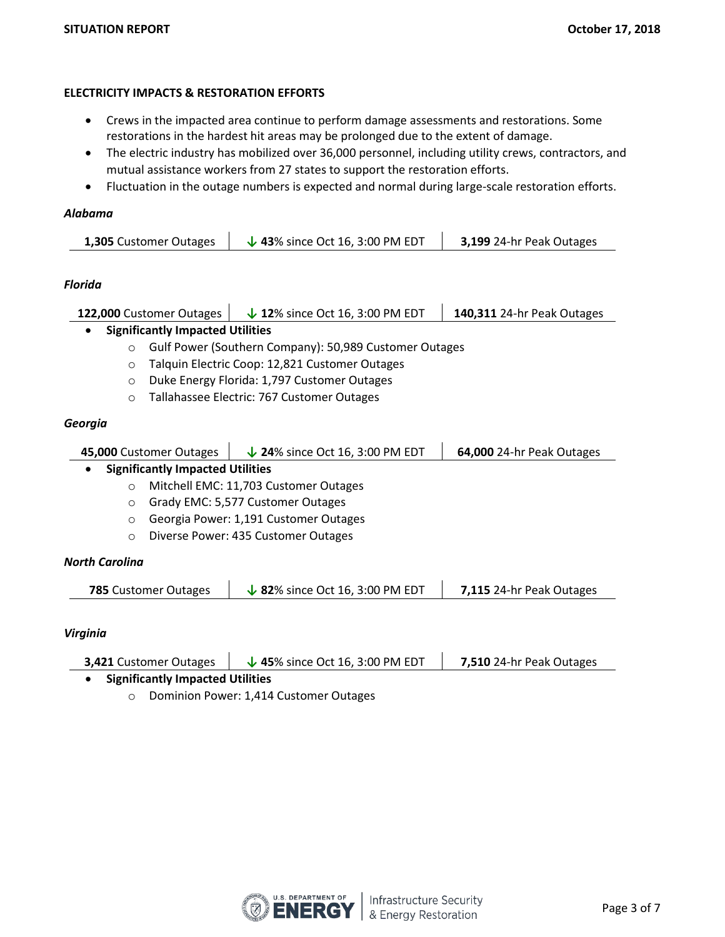## **ELECTRICITY IMPACTS & RESTORATION EFFORTS**

- Crews in the impacted area continue to perform damage assessments and restorations. Some restorations in the hardest hit areas may be prolonged due to the extent of damage.
- The electric industry has mobilized over 36,000 personnel, including utility crews, contractors, and mutual assistance workers from 27 states to support the restoration efforts.
- Fluctuation in the outage numbers is expected and normal during large-scale restoration efforts.

### *Alabama*

| <b>1,305</b> Customer Outages | $\downarrow$ 43% since Oct 16, 3:00 PM EDT | 3,199 24-hr Peak Outages |
|-------------------------------|--------------------------------------------|--------------------------|
|-------------------------------|--------------------------------------------|--------------------------|

## *Florida*

| 122,000 Customer Outages                |                                                        | $\downarrow$ 12% since Oct 16, 3:00 PM EDT     | 140,311 24-hr Peak Outages |  |  |
|-----------------------------------------|--------------------------------------------------------|------------------------------------------------|----------------------------|--|--|
| <b>Significantly Impacted Utilities</b> |                                                        |                                                |                            |  |  |
| $\circ$                                 | Gulf Power (Southern Company): 50,989 Customer Outages |                                                |                            |  |  |
| $\circ$                                 |                                                        | Talquin Electric Coop: 12,821 Customer Outages |                            |  |  |
| $\circ$                                 |                                                        | Duke Energy Florida: 1,797 Customer Outages    |                            |  |  |
| $\circ$                                 | Tallahassee Electric: 767 Customer Outages             |                                                |                            |  |  |
| Georgia                                 |                                                        |                                                |                            |  |  |
|                                         | 45,000 Customer Outages                                | $\downarrow$ 24% since Oct 16, 3:00 PM EDT     | 64,000 24-hr Peak Outages  |  |  |
|                                         | <b>Significantly Impacted Utilities</b>                |                                                |                            |  |  |
| $\circ$                                 | Mitchell EMC: 11,703 Customer Outages                  |                                                |                            |  |  |
| $\circ$                                 | Grady EMC: 5,577 Customer Outages                      |                                                |                            |  |  |
| $\circ$                                 | Georgia Power: 1,191 Customer Outages                  |                                                |                            |  |  |
| $\circ$                                 | Diverse Power: 435 Customer Outages                    |                                                |                            |  |  |
| <b>North Carolina</b>                   |                                                        |                                                |                            |  |  |
|                                         | <b>785 Customer Outages</b>                            | $\sqrt{82\%}$ since Oct 16, 3:00 PM EDT        | 7,115 24-hr Peak Outages   |  |  |
| <u> Virninin</u>                        |                                                        |                                                |                            |  |  |

## *Virginia*

| <b>3,421 Customer Outages</b>           | $\downarrow$ 45% since Oct 16, 3:00 PM EDT | 7,510 24-hr Peak Outages |  |  |
|-----------------------------------------|--------------------------------------------|--------------------------|--|--|
| <b>Significantly Impacted Utilities</b> |                                            |                          |  |  |

o Dominion Power: 1,414 Customer Outages

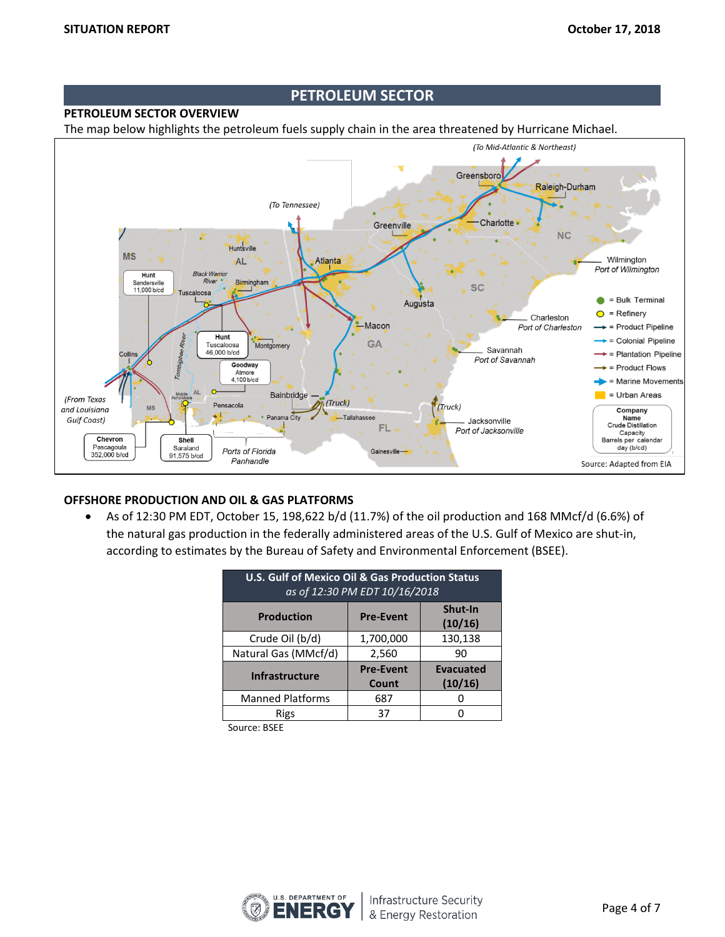## **PETROLEUM SECTOR**

## **PETROLEUM SECTOR OVERVIEW**

The map below highlights the petroleum fuels supply chain in the area threatened by Hurricane Michael.



## **OFFSHORE PRODUCTION AND OIL & GAS PLATFORMS**

• As of 12:30 PM EDT, October 15, 198,622 b/d (11.7%) of the oil production and 168 MMcf/d (6.6%) of the natural gas production in the federally administered areas of the U.S. Gulf of Mexico are shut-in, according to estimates by the Bureau of Safety and Environmental Enforcement (BSEE).

| <b>U.S. Gulf of Mexico Oil &amp; Gas Production Status</b><br>as of 12:30 PM EDT 10/16/2018 |                  |                    |  |
|---------------------------------------------------------------------------------------------|------------------|--------------------|--|
| <b>Production</b>                                                                           | <b>Pre-Event</b> | Shut-In<br>(10/16) |  |
| Crude Oil (b/d)                                                                             | 1,700,000        | 130,138            |  |
| Natural Gas (MMcf/d)                                                                        | 2,560            | 90                 |  |
| <b>Infrastructure</b>                                                                       | <b>Pre-Event</b> | <b>Evacuated</b>   |  |
|                                                                                             | Count            | (10/16)            |  |
| <b>Manned Platforms</b>                                                                     | 687              |                    |  |
| Rigs                                                                                        | 37               |                    |  |

Source: BSEE

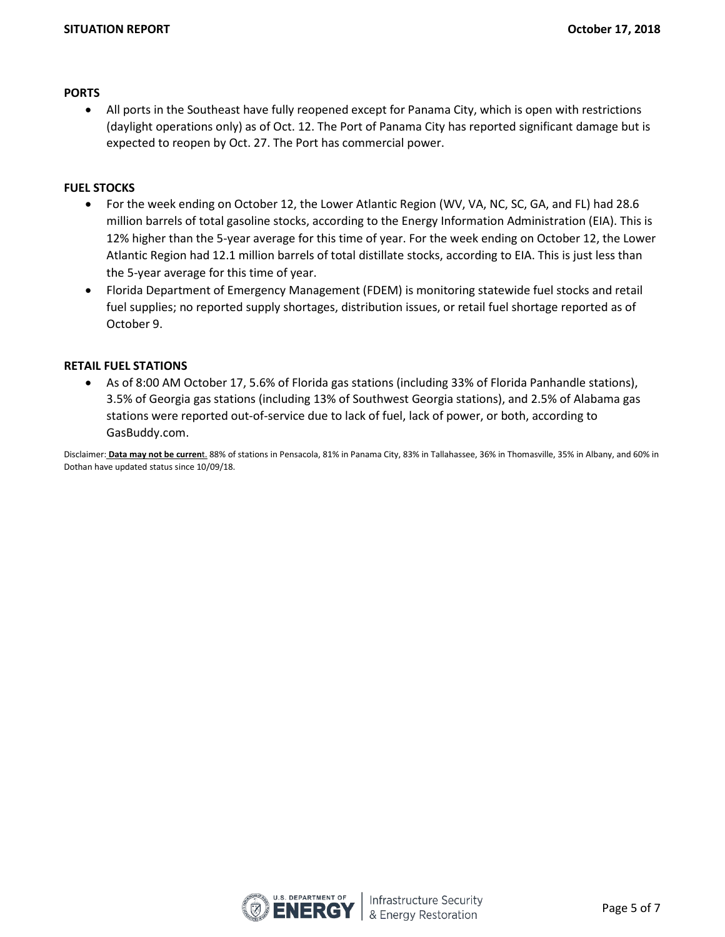#### **PORTS**

• All ports in the Southeast have fully reopened except for Panama City, which is open with restrictions (daylight operations only) as of Oct. 12. The Port of Panama City has reported significant damage but is expected to reopen by Oct. 27. The Port has commercial power.

## **FUEL STOCKS**

- For the week ending on October 12, the Lower Atlantic Region (WV, VA, NC, SC, GA, and FL) had 28.6 million barrels of total gasoline stocks, according to the Energy Information Administration (EIA). This is 12% higher than the 5-year average for this time of year. For the week ending on October 12, the Lower Atlantic Region had 12.1 million barrels of total distillate stocks, according to EIA. This is just less than the 5-year average for this time of year.
- Florida Department of Emergency Management (FDEM) is monitoring statewide fuel stocks and retail fuel supplies; no reported supply shortages, distribution issues, or retail fuel shortage reported as of October 9.

#### **RETAIL FUEL STATIONS**

• As of 8:00 AM October 17, 5.6% of Florida gas stations (including 33% of Florida Panhandle stations), 3.5% of Georgia gas stations (including 13% of Southwest Georgia stations), and 2.5% of Alabama gas stations were reported out-of-service due to lack of fuel, lack of power, or both, according to GasBuddy.com.

Disclaimer: **Data may not be curren**t. 88% of stations in Pensacola, 81% in Panama City, 83% in Tallahassee, 36% in Thomasville, 35% in Albany, and 60% in Dothan have updated status since 10/09/18.

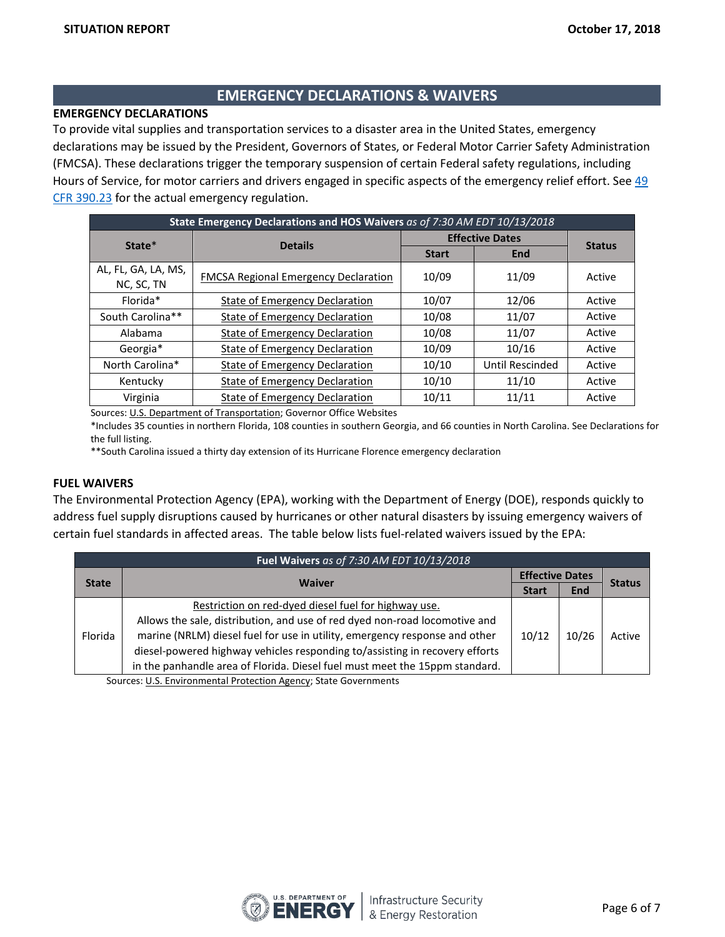## **EMERGENCY DECLARATIONS & WAIVERS**

## **EMERGENCY DECLARATIONS**

To provide vital supplies and transportation services to a disaster area in the United States, emergency declarations may be issued by the President, Governors of States, or Federal Motor Carrier Safety Administration (FMCSA). These declarations trigger the temporary suspension of certain Federal safety regulations, including Hours of Service, for motor carriers and drivers engaged in specific aspects of the emergency relief effort. See [49](https://www.fmcsa.dot.gov/regulations/title49/section/390.23)  [CFR 390.23](https://www.fmcsa.dot.gov/regulations/title49/section/390.23) for the actual emergency regulation.

| State Emergency Declarations and HOS Waivers as of 7:30 AM EDT 10/13/2018 |                                             |                        |                 |               |
|---------------------------------------------------------------------------|---------------------------------------------|------------------------|-----------------|---------------|
| State*                                                                    | <b>Details</b>                              | <b>Effective Dates</b> |                 |               |
|                                                                           |                                             | <b>Start</b>           | <b>End</b>      | <b>Status</b> |
| AL, FL, GA, LA, MS,<br>NC, SC, TN                                         | <b>FMCSA Regional Emergency Declaration</b> | 10/09                  | 11/09           | Active        |
| Florida*                                                                  | State of Emergency Declaration              | 10/07                  | 12/06           | Active        |
| South Carolina**                                                          | <b>State of Emergency Declaration</b>       | 10/08                  | 11/07           | Active        |
| Alabama                                                                   | <b>State of Emergency Declaration</b>       | 10/08                  | 11/07           | Active        |
| Georgia*                                                                  | <b>State of Emergency Declaration</b>       | 10/09                  | 10/16           | Active        |
| North Carolina*                                                           | <b>State of Emergency Declaration</b>       | 10/10                  | Until Rescinded | Active        |
| Kentucky                                                                  | <b>State of Emergency Declaration</b>       | 10/10                  | 11/10           | Active        |
| Virginia                                                                  | <b>State of Emergency Declaration</b>       | 10/11                  | 11/11           | Active        |

Sources[: U.S. Department of Transportation;](http://www.fmcsa.dot.gov/emergency) Governor Office Websites

\*Includes 35 counties in northern Florida, 108 counties in southern Georgia, and 66 counties in North Carolina. See Declarations for the full listing.

\*\*South Carolina issued a thirty day extension of its Hurricane Florence emergency declaration

#### **FUEL WAIVERS**

The Environmental Protection Agency (EPA), working with the Department of Energy (DOE), responds quickly to address fuel supply disruptions caused by hurricanes or other natural disasters by issuing emergency waivers of certain fuel standards in affected areas. The table below lists fuel-related waivers issued by the EPA:

| Fuel Waivers as of 7:30 AM EDT 10/13/2018 |                                                                             |       |                        |               |
|-------------------------------------------|-----------------------------------------------------------------------------|-------|------------------------|---------------|
| <b>State</b>                              | <b>Waiver</b>                                                               |       | <b>Effective Dates</b> |               |
|                                           |                                                                             |       | <b>End</b>             | <b>Status</b> |
| Florida                                   | Restriction on red-dyed diesel fuel for highway use.                        | 10/12 | 10/26                  | Active        |
|                                           | Allows the sale, distribution, and use of red dyed non-road locomotive and  |       |                        |               |
|                                           | marine (NRLM) diesel fuel for use in utility, emergency response and other  |       |                        |               |
|                                           | diesel-powered highway vehicles responding to/assisting in recovery efforts |       |                        |               |
|                                           | in the panhandle area of Florida. Diesel fuel must meet the 15ppm standard. |       |                        |               |

Sources: [U.S. Environmental Protection Agency;](https://www.epa.gov/enforcement/fuel-waivers) State Governments